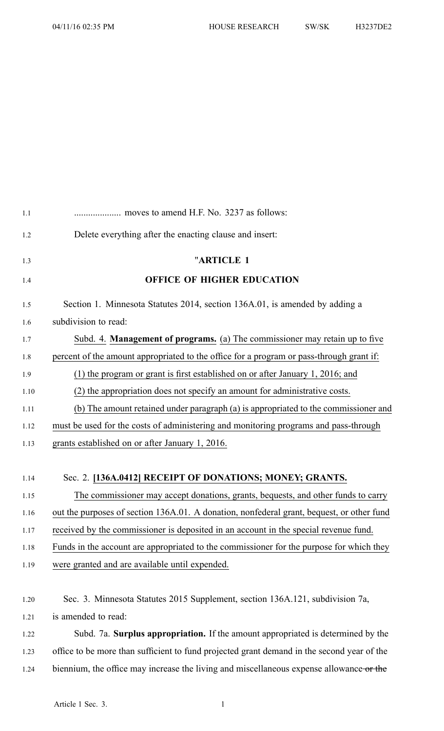| 1.1  |                                                                                           |
|------|-------------------------------------------------------------------------------------------|
| 1.2  | Delete everything after the enacting clause and insert:                                   |
| 1.3  | "ARTICLE 1                                                                                |
| 1.4  | <b>OFFICE OF HIGHER EDUCATION</b>                                                         |
| 1.5  | Section 1. Minnesota Statutes 2014, section 136A.01, is amended by adding a               |
| 1.6  | subdivision to read:                                                                      |
| 1.7  | Subd. 4. Management of programs. (a) The commissioner may retain up to five               |
| 1.8  | percent of the amount appropriated to the office for a program or pass-through grant if:  |
| 1.9  | $(1)$ the program or grant is first established on or after January 1, 2016; and          |
| 1.10 | (2) the appropriation does not specify an amount for administrative costs.                |
| 1.11 | (b) The amount retained under paragraph (a) is appropriated to the commissioner and       |
| 1.12 | must be used for the costs of administering and monitoring programs and pass-through      |
| 1.13 | grants established on or after January 1, 2016.                                           |
|      |                                                                                           |
| 1.14 | Sec. 2. [136A.0412] RECEIPT OF DONATIONS; MONEY; GRANTS.                                  |
| 1.15 | The commissioner may accept donations, grants, bequests, and other funds to carry         |
| 1.16 | out the purposes of section 136A.01. A donation, nonfederal grant, bequest, or other fund |
| 1.17 | received by the commissioner is deposited in an account in the special revenue fund.      |
| 1.18 | Funds in the account are appropriated to the commissioner for the purpose for which they  |
| 1.19 | were granted and are available until expended.                                            |
|      |                                                                                           |
| 1.20 | Sec. 3. Minnesota Statutes 2015 Supplement, section 136A.121, subdivision 7a,             |
| 1.21 | is amended to read:                                                                       |
|      |                                                                                           |

1.22 Subd. 7a. **Surplus appropriation.** If the amount appropriated is determined by the 1.23 office to be more than sufficient to fund projected gran<sup>t</sup> demand in the second year of the 1.24 biennium, the office may increase the living and miscellaneous expense allowance or the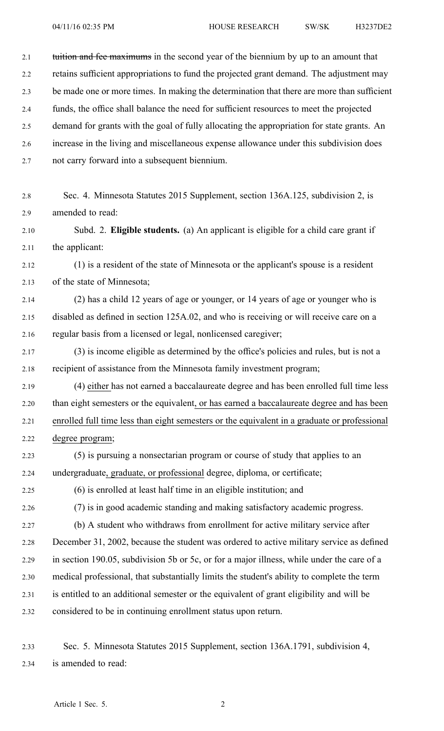| 2.1  | tuition and fee maximums in the second year of the biennium by up to an amount that          |
|------|----------------------------------------------------------------------------------------------|
| 2.2  | retains sufficient appropriations to fund the projected grant demand. The adjustment may     |
| 2.3  | be made one or more times. In making the determination that there are more than sufficient   |
| 2.4  | funds, the office shall balance the need for sufficient resources to meet the projected      |
| 2.5  | demand for grants with the goal of fully allocating the appropriation for state grants. An   |
| 2.6  | increase in the living and miscellaneous expense allowance under this subdivision does       |
| 2.7  | not carry forward into a subsequent biennium.                                                |
|      |                                                                                              |
| 2.8  | Sec. 4. Minnesota Statutes 2015 Supplement, section 136A.125, subdivision 2, is              |
| 2.9  | amended to read:                                                                             |
| 2.10 | Subd. 2. Eligible students. (a) An applicant is eligible for a child care grant if           |
| 2.11 | the applicant:                                                                               |
| 2.12 | (1) is a resident of the state of Minnesota or the applicant's spouse is a resident          |
| 2.13 | of the state of Minnesota;                                                                   |
| 2.14 | (2) has a child 12 years of age or younger, or 14 years of age or younger who is             |
| 2.15 | disabled as defined in section 125A.02, and who is receiving or will receive care on a       |
| 2.16 | regular basis from a licensed or legal, nonlicensed caregiver;                               |
| 2.17 | (3) is income eligible as determined by the office's policies and rules, but is not a        |
| 2.18 | recipient of assistance from the Minnesota family investment program;                        |
| 2.19 | (4) either has not earned a baccalaureate degree and has been enrolled full time less        |
| 2.20 | than eight semesters or the equivalent, or has earned a baccalaureate degree and has been    |
| 2.21 | enrolled full time less than eight semesters or the equivalent in a graduate or professional |
| 2.22 | degree program;                                                                              |
| 2.23 | (5) is pursuing a nonsectarian program or course of study that applies to an                 |
| 2.24 | undergraduate, graduate, or professional degree, diploma, or certificate;                    |
| 2.25 | (6) is enrolled at least half time in an eligible institution; and                           |
| 2.26 | (7) is in good academic standing and making satisfactory academic progress.                  |
| 2.27 | (b) A student who withdraws from enrollment for active military service after                |
| 2.28 | December 31, 2002, because the student was ordered to active military service as defined     |
| 2.29 | in section 190.05, subdivision 5b or 5c, or for a major illness, while under the care of a   |
| 2.30 | medical professional, that substantially limits the student's ability to complete the term   |

- 2.31 is entitled to an additional semester or the equivalent of gran<sup>t</sup> eligibility and will be
- 2.32 considered to be in continuing enrollment status upon return.
- 2.33 Sec. 5. Minnesota Statutes 2015 Supplement, section 136A.1791, subdivision 4, 2.34 is amended to read: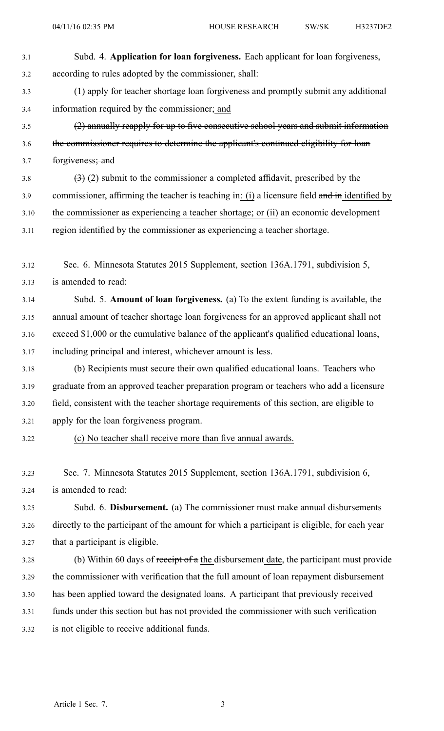- 3.1 Subd. 4. **Application for loan forgiveness.** Each applicant for loan forgiveness, 3.2 according to rules adopted by the commissioner, shall: 3.3 (1) apply for teacher shortage loan forgiveness and promptly submit any additional 3.4 information required by the commissioner; and 3.5 (2) annually reapply for up to five consecutive school years and submit information 3.6 the commissioner requires to determine the applicant's continued eligibility for loan 3.7 forgiveness; and 3.8  $(3)$  (2) submit to the commissioner a completed affidavit, prescribed by the 3.9 commissioner, affirming the teacher is teaching in: (i) a licensure field and in identified by 3.10 the commissioner as experiencing <sup>a</sup> teacher shortage; or (ii) an economic development 3.11 region identified by the commissioner as experiencing <sup>a</sup> teacher shortage. 3.12 Sec. 6. Minnesota Statutes 2015 Supplement, section 136A.1791, subdivision 5, 3.13 is amended to read: 3.14 Subd. 5. **Amount of loan forgiveness.** (a) To the extent funding is available, the 3.15 annual amount of teacher shortage loan forgiveness for an approved applicant shall not 3.16 exceed \$1,000 or the cumulative balance of the applicant's qualified educational loans, 3.17 including principal and interest, whichever amount is less. 3.18 (b) Recipients must secure their own qualified educational loans. Teachers who 3.19 graduate from an approved teacher preparation program or teachers who add <sup>a</sup> licensure 3.20 field, consistent with the teacher shortage requirements of this section, are eligible to 3.21 apply for the loan forgiveness program. 3.22 (c) No teacher shall receive more than five annual awards. 3.23 Sec. 7. Minnesota Statutes 2015 Supplement, section 136A.1791, subdivision 6, 3.24 is amended to read: 3.25 Subd. 6. **Disbursement.** (a) The commissioner must make annual disbursements
- 3.26 directly to the participant of the amount for which <sup>a</sup> participant is eligible, for each year 3.27 that <sup>a</sup> participant is eligible.
- 3.28 (b) Within 60 days of receipt of <sup>a</sup> the disbursement date, the participant must provide 3.29 the commissioner with verification that the full amount of loan repaymen<sup>t</sup> disbursement 3.30 has been applied toward the designated loans. A participant that previously received 3.31 funds under this section but has not provided the commissioner with such verification 3.32 is not eligible to receive additional funds.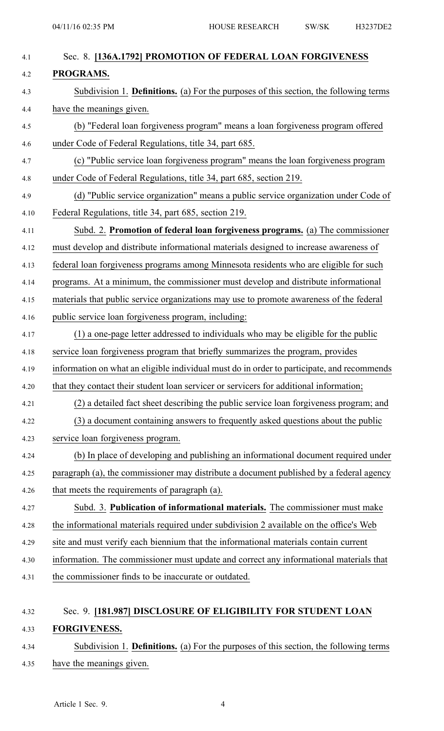| 4.1  | Sec. 8. [136A.1792] PROMOTION OF FEDERAL LOAN FORGIVENESS                                  |
|------|--------------------------------------------------------------------------------------------|
| 4.2  | PROGRAMS.                                                                                  |
| 4.3  | Subdivision 1. Definitions. (a) For the purposes of this section, the following terms      |
| 4.4  | have the meanings given.                                                                   |
| 4.5  | (b) "Federal loan forgiveness program" means a loan forgiveness program offered            |
| 4.6  | under Code of Federal Regulations, title 34, part 685.                                     |
| 4.7  | (c) "Public service loan forgiveness program" means the loan forgiveness program           |
| 4.8  | under Code of Federal Regulations, title 34, part 685, section 219.                        |
| 4.9  | (d) "Public service organization" means a public service organization under Code of        |
| 4.10 | Federal Regulations, title 34, part 685, section 219.                                      |
| 4.11 | Subd. 2. Promotion of federal loan forgiveness programs. (a) The commissioner              |
| 4.12 | must develop and distribute informational materials designed to increase awareness of      |
| 4.13 | federal loan forgiveness programs among Minnesota residents who are eligible for such      |
| 4.14 | programs. At a minimum, the commissioner must develop and distribute informational         |
| 4.15 | materials that public service organizations may use to promote awareness of the federal    |
| 4.16 | public service loan forgiveness program, including:                                        |
| 4.17 | (1) a one-page letter addressed to individuals who may be eligible for the public          |
| 4.18 | service loan forgiveness program that briefly summarizes the program, provides             |
| 4.19 | information on what an eligible individual must do in order to participate, and recommends |
| 4.20 | that they contact their student loan servicer or servicers for additional information;     |
| 4.21 | (2) a detailed fact sheet describing the public service loan forgiveness program; and      |
| 4.22 | (3) a document containing answers to frequently asked questions about the public           |
| 4.23 | service loan forgiveness program.                                                          |
| 4.24 | (b) In place of developing and publishing an informational document required under         |
| 4.25 | paragraph (a), the commissioner may distribute a document published by a federal agency    |
| 4.26 | that meets the requirements of paragraph (a).                                              |
| 4.27 | Subd. 3. Publication of informational materials. The commissioner must make                |
| 4.28 | the informational materials required under subdivision 2 available on the office's Web     |
| 4.29 | site and must verify each biennium that the informational materials contain current        |
| 4.30 | information. The commissioner must update and correct any informational materials that     |
| 4.31 | the commissioner finds to be inaccurate or outdated.                                       |
|      |                                                                                            |
|      |                                                                                            |

## 4.32 Sec. 9. **[181.987] DISCLOSURE OF ELIGIBILITY FOR STUDENT LOAN** 4.33 **FORGIVENESS.**

## 4.34 Subdivision 1. **Definitions.** (a) For the purposes of this section, the following terms 4.35 have the meanings given.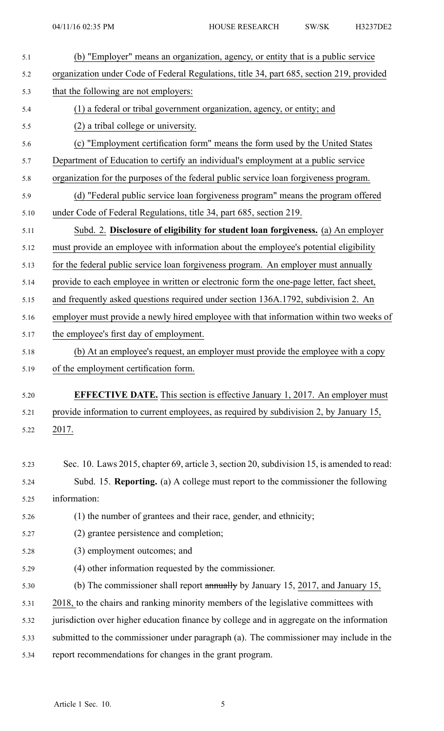| 5.1  | (b) "Employer" means an organization, agency, or entity that is a public service           |
|------|--------------------------------------------------------------------------------------------|
| 5.2  | organization under Code of Federal Regulations, title 34, part 685, section 219, provided  |
| 5.3  | that the following are not employers:                                                      |
| 5.4  | (1) a federal or tribal government organization, agency, or entity; and                    |
| 5.5  | (2) a tribal college or university.                                                        |
| 5.6  | (c) "Employment certification form" means the form used by the United States               |
| 5.7  | Department of Education to certify an individual's employment at a public service          |
| 5.8  | organization for the purposes of the federal public service loan forgiveness program.      |
| 5.9  | (d) "Federal public service loan forgiveness program" means the program offered            |
| 5.10 | under Code of Federal Regulations, title 34, part 685, section 219.                        |
| 5.11 | Subd. 2. Disclosure of eligibility for student loan forgiveness. (a) An employer           |
| 5.12 | must provide an employee with information about the employee's potential eligibility       |
| 5.13 | for the federal public service loan forgiveness program. An employer must annually         |
| 5.14 | provide to each employee in written or electronic form the one-page letter, fact sheet,    |
| 5.15 | and frequently asked questions required under section 136A.1792, subdivision 2. An         |
| 5.16 | employer must provide a newly hired employee with that information within two weeks of     |
| 5.17 | the employee's first day of employment.                                                    |
| 5.18 | (b) At an employee's request, an employer must provide the employee with a copy            |
| 5.19 | of the employment certification form.                                                      |
| 5.20 | <b>EFFECTIVE DATE.</b> This section is effective January 1, 2017. An employer must         |
| 5.21 | provide information to current employees, as required by subdivision 2, by January 15,     |
| 5.22 | 2017.                                                                                      |
|      |                                                                                            |
| 5.23 | Sec. 10. Laws 2015, chapter 69, article 3, section 20, subdivision 15, is amended to read: |
| 5.24 | Subd. 15. Reporting. (a) A college must report to the commissioner the following           |
| 5.25 | information:                                                                               |
| 5.26 | (1) the number of grantees and their race, gender, and ethnicity;                          |
| 5.27 | (2) grantee persistence and completion;                                                    |
| 5.28 | (3) employment outcomes; and                                                               |
| 5.29 | (4) other information requested by the commissioner.                                       |
| 5.30 | (b) The commissioner shall report annually by January 15, 2017, and January 15,            |
| 5.31 | 2018, to the chairs and ranking minority members of the legislative committees with        |
| 5.32 | jurisdiction over higher education finance by college and in aggregate on the information  |
| 5.33 |                                                                                            |
|      | submitted to the commissioner under paragraph (a). The commissioner may include in the     |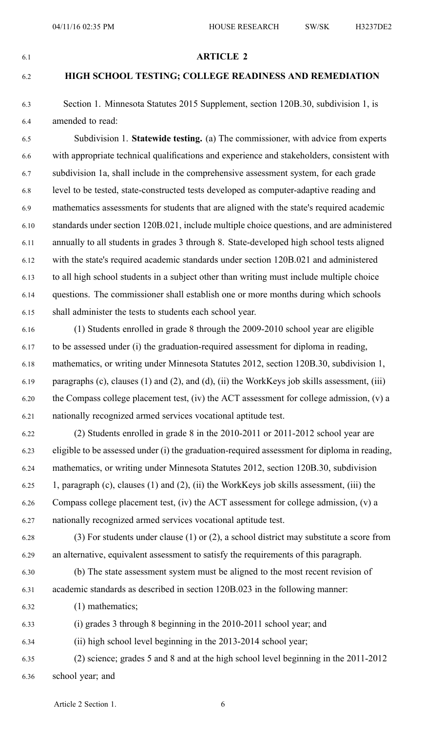#### 6.1 **ARTICLE 2**

### 6.2 **HIGH SCHOOL TESTING; COLLEGE READINESS AND REMEDIATION**

6.3 Section 1. Minnesota Statutes 2015 Supplement, section 120B.30, subdivision 1, is 6.4 amended to read:

6.5 Subdivision 1. **Statewide testing.** (a) The commissioner, with advice from experts 6.6 with appropriate technical qualifications and experience and stakeholders, consistent with 6.7 subdivision 1a, shall include in the comprehensive assessment system, for each grade 6.8 level to be tested, state-constructed tests developed as computer-adaptive reading and 6.9 mathematics assessments for students that are aligned with the state's required academic 6.10 standards under section 120B.021, include multiple choice questions, and are administered 6.11 annually to all students in grades 3 through 8. State-developed high school tests aligned 6.12 with the state's required academic standards under section 120B.021 and administered 6.13 to all high school students in <sup>a</sup> subject other than writing must include multiple choice 6.14 questions. The commissioner shall establish one or more months during which schools 6.15 shall administer the tests to students each school year.

6.16 (1) Students enrolled in grade 8 through the 2009-2010 school year are eligible 6.17 to be assessed under (i) the graduation-required assessment for diploma in reading, 6.18 mathematics, or writing under Minnesota Statutes 2012, section 120B.30, subdivision 1, 6.19 paragraphs (c), clauses (1) and (2), and (d), (ii) the WorkKeys job skills assessment, (iii) 6.20 the Compass college placement test, (iv) the ACT assessment for college admission, (v) <sup>a</sup> 6.21 nationally recognized armed services vocational aptitude test.

6.22 (2) Students enrolled in grade 8 in the 2010-2011 or 2011-2012 school year are 6.23 eligible to be assessed under (i) the graduation-required assessment for diploma in reading, 6.24 mathematics, or writing under Minnesota Statutes 2012, section 120B.30, subdivision 6.25 1, paragraph (c), clauses (1) and (2), (ii) the WorkKeys job skills assessment, (iii) the 6.26 Compass college placement test, (iv) the ACT assessment for college admission, (v) <sup>a</sup> 6.27 nationally recognized armed services vocational aptitude test.

- 6.28 (3) For students under clause (1) or (2), <sup>a</sup> school district may substitute <sup>a</sup> score from 6.29 an alternative, equivalent assessment to satisfy the requirements of this paragraph.
- 6.30 (b) The state assessment system must be aligned to the most recent revision of 6.31 academic standards as described in section 120B.023 in the following manner:

6.32 (1) mathematics;

6.33 (i) grades 3 through 8 beginning in the 2010-2011 school year; and

- 6.34 (ii) high school level beginning in the 2013-2014 school year;
- 6.35 (2) science; grades 5 and 8 and at the high school level beginning in the 2011-2012 6.36 school year; and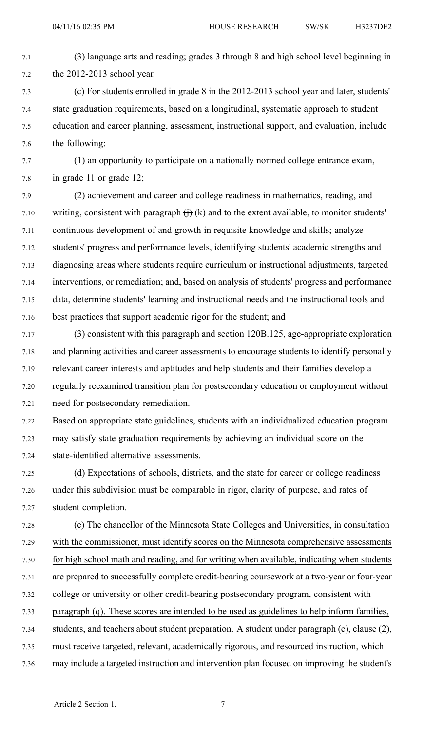- 7.1 (3) language arts and reading; grades 3 through 8 and high school level beginning in 7.2 the 2012-2013 school year.
- 7.3 (c) For students enrolled in grade 8 in the 2012-2013 school year and later, students' 7.4 state graduation requirements, based on <sup>a</sup> longitudinal, systematic approach to student 7.5 education and career planning, assessment, instructional support, and evaluation, include 7.6 the following:
- 7.7 (1) an opportunity to participate on <sup>a</sup> nationally normed college entrance exam, 7.8 in grade 11 or grade 12;
- 7.9 (2) achievement and career and college readiness in mathematics, reading, and 7.10 writing, consistent with paragraph  $\overrightarrow{H}$  (k) and to the extent available, to monitor students' 7.11 continuous development of and growth in requisite knowledge and skills; analyze 7.12 students' progress and performance levels, identifying students' academic strengths and 7.13 diagnosing areas where students require curriculum or instructional adjustments, targeted 7.14 interventions, or remediation; and, based on analysis of students' progress and performance 7.15 data, determine students' learning and instructional needs and the instructional tools and 7.16 best practices that suppor<sup>t</sup> academic rigor for the student; and
- 7.17 (3) consistent with this paragraph and section 120B.125, age-appropriate exploration 7.18 and planning activities and career assessments to encourage students to identify personally 7.19 relevant career interests and aptitudes and help students and their families develop <sup>a</sup> 7.20 regularly reexamined transition plan for postsecondary education or employment without 7.21 need for postsecondary remediation.
- 7.22 Based on appropriate state guidelines, students with an individualized education program 7.23 may satisfy state graduation requirements by achieving an individual score on the 7.24 state-identified alternative assessments.
- 7.25 (d) Expectations of schools, districts, and the state for career or college readiness 7.26 under this subdivision must be comparable in rigor, clarity of purpose, and rates of 7.27 student completion.
- 7.28 (e) The chancellor of the Minnesota State Colleges and Universities, in consultation 7.29 with the commissioner, must identify scores on the Minnesota comprehensive assessments 7.30 for high school math and reading, and for writing when available, indicating when students 7.31 are prepared to successfully complete credit-bearing coursework at <sup>a</sup> two-year or four-year 7.32 college or university or other credit-bearing postsecondary program, consistent with
- 7.33 paragraph (q). These scores are intended to be used as guidelines to help inform families,
- 7.34 students, and teachers about student preparation. A student under paragraph (c), clause (2),
- 7.35 must receive targeted, relevant, academically rigorous, and resourced instruction, which
- 7.36 may include <sup>a</sup> targeted instruction and intervention plan focused on improving the student's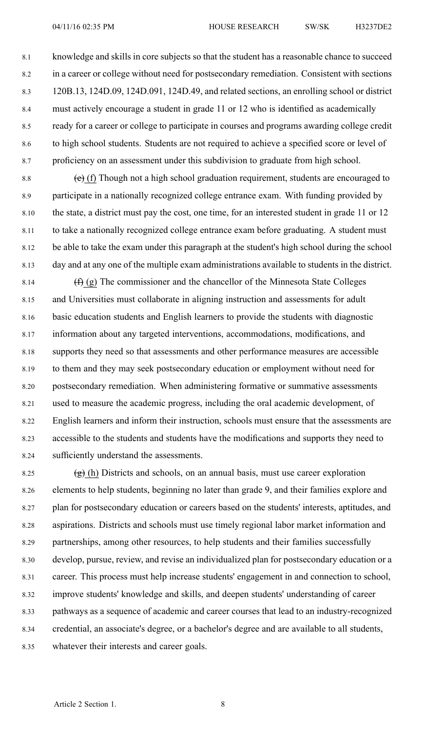8.1 knowledge and skills in core subjects so that the student has <sup>a</sup> reasonable chance to succeed 8.2 in <sup>a</sup> career or college without need for postsecondary remediation. Consistent with sections 8.3 120B.13, 124D.09, 124D.091, 124D.49, and related sections, an enrolling school or district 8.4 must actively encourage <sup>a</sup> student in grade 11 or 12 who is identified as academically 8.5 ready for <sup>a</sup> career or college to participate in courses and programs awarding college credit 8.6 to high school students. Students are not required to achieve <sup>a</sup> specified score or level of 8.7 proficiency on an assessment under this subdivision to graduate from high school.

8.8  $\left(\text{e}\right)$  (f) Though not a high school graduation requirement, students are encouraged to 8.9 participate in <sup>a</sup> nationally recognized college entrance exam. With funding provided by 8.10 the state, <sup>a</sup> district must pay the cost, one time, for an interested student in grade 11 or 12 8.11 to take <sup>a</sup> nationally recognized college entrance exam before graduating. A student must 8.12 be able to take the exam under this paragraph at the student's high school during the school 8.13 day and at any one of the multiple exam administrations available to students in the district.

8.14  $(f)$  (g) The commissioner and the chancellor of the Minnesota State Colleges 8.15 and Universities must collaborate in aligning instruction and assessments for adult 8.16 basic education students and English learners to provide the students with diagnostic 8.17 information about any targeted interventions, accommodations, modifications, and 8.18 supports they need so that assessments and other performance measures are accessible 8.19 to them and they may seek postsecondary education or employment without need for 8.20 postsecondary remediation. When administering formative or summative assessments 8.21 used to measure the academic progress, including the oral academic development, of 8.22 English learners and inform their instruction, schools must ensure that the assessments are 8.23 accessible to the students and students have the modifications and supports they need to 8.24 sufficiently understand the assessments.

8.25  $(g)$  (h) Districts and schools, on an annual basis, must use career exploration 8.26 elements to help students, beginning no later than grade 9, and their families explore and 8.27 plan for postsecondary education or careers based on the students' interests, aptitudes, and 8.28 aspirations. Districts and schools must use timely regional labor market information and 8.29 partnerships, among other resources, to help students and their families successfully 8.30 develop, pursue, review, and revise an individualized plan for postsecondary education or <sup>a</sup> 8.31 career. This process must help increase students' engagemen<sup>t</sup> in and connection to school, 8.32 improve students' knowledge and skills, and deepen students' understanding of career 8.33 pathways as <sup>a</sup> sequence of academic and career courses that lead to an industry-recognized 8.34 credential, an associate's degree, or <sup>a</sup> bachelor's degree and are available to all students, 8.35 whatever their interests and career goals.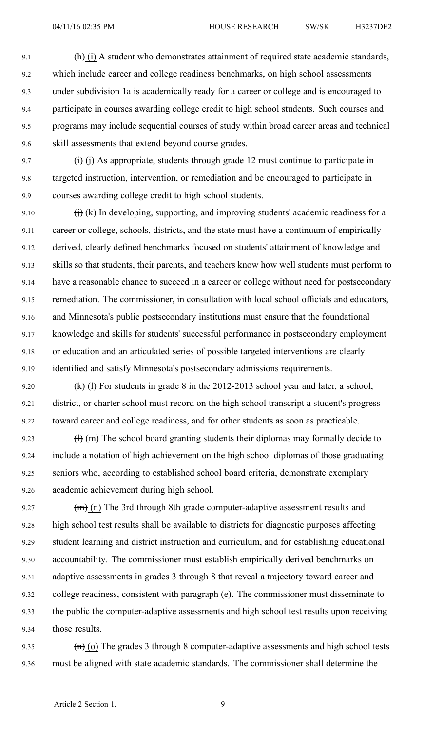- 9.1  $\left(\mathbf{h}\right)$  (i) A student who demonstrates attainment of required state academic standards, 9.2 which include career and college readiness benchmarks, on high school assessments 9.3 under subdivision 1a is academically ready for <sup>a</sup> career or college and is encouraged to 9.4 participate in courses awarding college credit to high school students. Such courses and 9.5 programs may include sequential courses of study within broad career areas and technical 9.6 skill assessments that extend beyond course grades.
- 9.7  $(i)$  (i) As appropriate, students through grade 12 must continue to participate in 9.8 targeted instruction, intervention, or remediation and be encouraged to participate in 9.9 courses awarding college credit to high school students.
- 9.10  $\qquad$   $\qquad$   $\qquad$   $\qquad$   $\qquad$   $\qquad$   $\qquad$  In developing, supporting, and improving students' academic readiness for a 9.11 career or college, schools, districts, and the state must have <sup>a</sup> continuum of empirically 9.12 derived, clearly defined benchmarks focused on students' attainment of knowledge and 9.13 skills so that students, their parents, and teachers know how well students must perform to 9.14 have <sup>a</sup> reasonable chance to succeed in <sup>a</sup> career or college without need for postsecondary 9.15 remediation. The commissioner, in consultation with local school officials and educators, 9.16 and Minnesota's public postsecondary institutions must ensure that the foundational 9.17 knowledge and skills for students' successful performance in postsecondary employment 9.18 or education and an articulated series of possible targeted interventions are clearly 9.19 identified and satisfy Minnesota's postsecondary admissions requirements.
- 9.20  $\left(\frac{1}{k}\right)$  (1) For students in grade 8 in the 2012-2013 school year and later, a school, 9.21 district, or charter school must record on the high school transcript <sup>a</sup> student's progress 9.22 toward career and college readiness, and for other students as soon as practicable.
- 9.23  $\text{(H)}$  (m) The school board granting students their diplomas may formally decide to 9.24 include <sup>a</sup> notation of high achievement on the high school diplomas of those graduating 9.25 seniors who, according to established school board criteria, demonstrate exemplary 9.26 academic achievement during high school.
- 9.27  $(m)$  (n) The 3rd through 8th grade computer-adaptive assessment results and 9.28 high school test results shall be available to districts for diagnostic purposes affecting 9.29 student learning and district instruction and curriculum, and for establishing educational 9.30 accountability. The commissioner must establish empirically derived benchmarks on 9.31 adaptive assessments in grades 3 through 8 that reveal <sup>a</sup> trajectory toward career and 9.32 college readiness, consistent with paragraph (e). The commissioner must disseminate to 9.33 the public the computer-adaptive assessments and high school test results upon receiving 9.34 those results.
- 9.35  $(n)$  (o) The grades 3 through 8 computer-adaptive assessments and high school tests 9.36 must be aligned with state academic standards. The commissioner shall determine the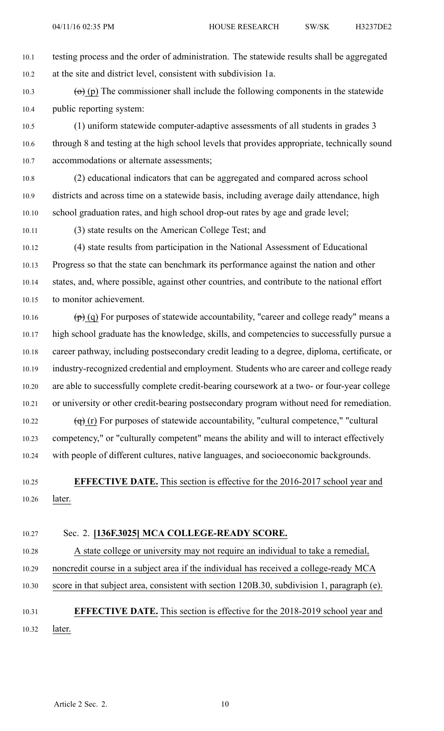10.1 testing process and the order of administration. The statewide results shall be aggregated 10.2 at the site and district level, consistent with subdivision 1a.

10.3 (o) (p) The commissioner shall include the following components in the statewide 10.4 public reporting system:

10.5 (1) uniform statewide computer-adaptive assessments of all students in grades 3 10.6 through 8 and testing at the high school levels that provides appropriate, technically sound 10.7 accommodations or alternate assessments;

10.8 (2) educational indicators that can be aggregated and compared across school 10.9 districts and across time on <sup>a</sup> statewide basis, including average daily attendance, high 10.10 school graduation rates, and high school drop-out rates by age and grade level;

10.11 (3) state results on the American College Test; and

10.12 (4) state results from participation in the National Assessment of Educational 10.13 Progress so that the state can benchmark its performance against the nation and other 10.14 states, and, where possible, against other countries, and contribute to the national effort 10.15 to monitor achievement.

10.16  $(p)$  (q) For purposes of statewide accountability, "career and college ready" means a 10.17 high school graduate has the knowledge, skills, and competencies to successfully pursue <sup>a</sup> 10.18 career pathway, including postsecondary credit leading to <sup>a</sup> degree, diploma, certificate, or 10.19 industry-recognized credential and employment. Students who are career and college ready 10.20 are able to successfully complete credit-bearing coursework at <sup>a</sup> two- or four-year college 10.21 or university or other credit-bearing postsecondary program without need for remediation.

10.22  $\left(\theta\right)$  (r) For purposes of statewide accountability, "cultural competence," "cultural 10.23 competency," or "culturally competent" means the ability and will to interact effectively 10.24 with people of different cultures, native languages, and socioeconomic backgrounds.

10.25 **EFFECTIVE DATE.** This section is effective for the 2016-2017 school year and 10.26 later.

## 10.27 Sec. 2. **[136F.3025] MCA COLLEGE-READY SCORE.**

10.28 A state college or university may not require an individual to take <sup>a</sup> remedial, 10.29 noncredit course in <sup>a</sup> subject area if the individual has received <sup>a</sup> college-ready MCA

10.30 score in that subject area, consistent with section 120B.30, subdivision 1, paragraph (e).

# 10.31 **EFFECTIVE DATE.** This section is effective for the 2018-2019 school year and 10.32 later.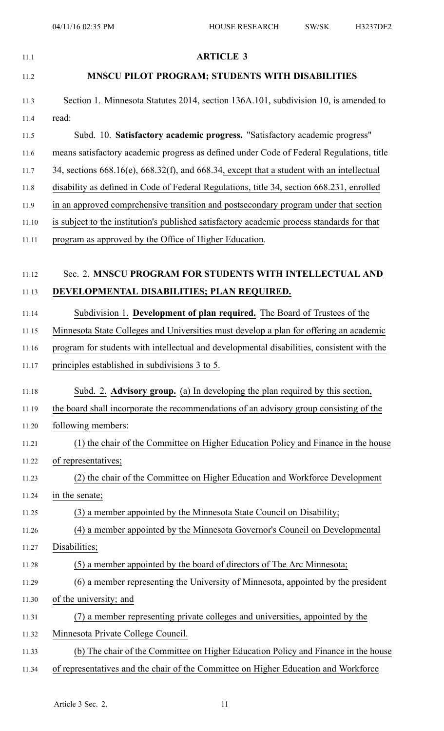| 11.1  | <b>ARTICLE 3</b>                                                                                   |
|-------|----------------------------------------------------------------------------------------------------|
| 11.2  | MNSCU PILOT PROGRAM; STUDENTS WITH DISABILITIES                                                    |
| 11.3  | Section 1. Minnesota Statutes 2014, section 136A.101, subdivision 10, is amended to                |
| 11.4  | read:                                                                                              |
| 11.5  | Subd. 10. Satisfactory academic progress. "Satisfactory academic progress"                         |
| 11.6  | means satisfactory academic progress as defined under Code of Federal Regulations, title           |
| 11.7  | 34, sections $668.16(e)$ , $668.32(f)$ , and $668.34$ , except that a student with an intellectual |
| 11.8  | disability as defined in Code of Federal Regulations, title 34, section 668.231, enrolled          |
| 11.9  | in an approved comprehensive transition and postsecondary program under that section               |
| 11.10 | is subject to the institution's published satisfactory academic process standards for that         |
| 11.11 | program as approved by the Office of Higher Education.                                             |
| 11.12 | Sec. 2. MNSCU PROGRAM FOR STUDENTS WITH INTELLECTUAL AND                                           |
| 11.13 | DEVELOPMENTAL DISABILITIES; PLAN REQUIRED.                                                         |
| 11.14 | Subdivision 1. Development of plan required. The Board of Trustees of the                          |
| 11.15 | Minnesota State Colleges and Universities must develop a plan for offering an academic             |
| 11.16 | program for students with intellectual and developmental disabilities, consistent with the         |
| 11.17 | principles established in subdivisions 3 to 5.                                                     |
| 11.18 | Subd. 2. Advisory group. (a) In developing the plan required by this section,                      |
| 11.19 | the board shall incorporate the recommendations of an advisory group consisting of the             |
| 11.20 | following members:                                                                                 |
| 11.21 | (1) the chair of the Committee on Higher Education Policy and Finance in the house                 |
| 11.22 | of representatives;                                                                                |
| 11.23 | (2) the chair of the Committee on Higher Education and Workforce Development                       |
| 11.24 | in the senate;                                                                                     |
| 11.25 | (3) a member appointed by the Minnesota State Council on Disability;                               |
| 11.26 | (4) a member appointed by the Minnesota Governor's Council on Developmental                        |
| 11.27 | Disabilities;                                                                                      |
| 11.28 | (5) a member appointed by the board of directors of The Arc Minnesota;                             |
| 11.29 | (6) a member representing the University of Minnesota, appointed by the president                  |
| 11.30 | of the university; and                                                                             |
| 11.31 | (7) a member representing private colleges and universities, appointed by the                      |
| 11.32 | Minnesota Private College Council.                                                                 |
| 11.33 | (b) The chair of the Committee on Higher Education Policy and Finance in the house                 |
| 11.34 | of representatives and the chair of the Committee on Higher Education and Workforce                |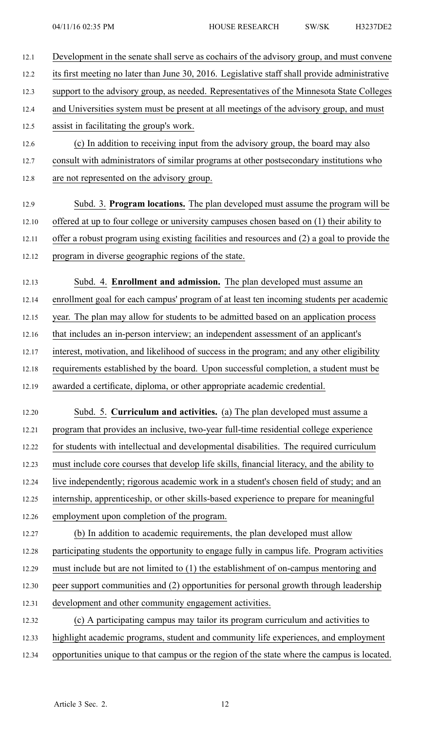12.1 Development in the senate shall serve as cochairs of the advisory group, and must convene 12.2 its first meeting no later than June 30, 2016. Legislative staff shall provide administrative 12.3 suppor<sup>t</sup> to the advisory group, as needed. Representatives of the Minnesota State Colleges 12.4 and Universities system must be presen<sup>t</sup> at all meetings of the advisory group, and must 12.5 assist in facilitating the group's work. 12.6 (c) In addition to receiving input from the advisory group, the board may also 12.7 consult with administrators of similar programs at other postsecondary institutions who 12.8 are not represented on the advisory group. 12.9 Subd. 3. **Program locations.** The plan developed must assume the program will be 12.10 offered at up to four college or university campuses chosen based on (1) their ability to 12.11 offer <sup>a</sup> robust program using existing facilities and resources and (2) <sup>a</sup> goal to provide the 12.12 program in diverse geographic regions of the state. 12.13 Subd. 4. **Enrollment and admission.** The plan developed must assume an 12.14 enrollment goal for each campus' program of at least ten incoming students per academic 12.15 year. The plan may allow for students to be admitted based on an application process 12.16 that includes an in-person interview; an independent assessment of an applicant's 12.17 interest, motivation, and likelihood of success in the program; and any other eligibility 12.18 requirements established by the board. Upon successful completion, <sup>a</sup> student must be 12.19 awarded <sup>a</sup> certificate, diploma, or other appropriate academic credential. 12.20 Subd. 5. **Curriculum and activities.** (a) The plan developed must assume <sup>a</sup> 12.21 program that provides an inclusive, two-year full-time residential college experience 12.22 for students with intellectual and developmental disabilities. The required curriculum 12.23 must include core courses that develop life skills, financial literacy, and the ability to 12.24 live independently; rigorous academic work in <sup>a</sup> student's chosen field of study; and an 12.25 internship, apprenticeship, or other skills-based experience to prepare for meaningful 12.26 employment upon completion of the program. 12.27 (b) In addition to academic requirements, the plan developed must allow 12.28 participating students the opportunity to engage fully in campus life. Program activities 12.29 must include but are not limited to (1) the establishment of on-campus mentoring and 12.30 peer suppor<sup>t</sup> communities and (2) opportunities for personal growth through leadership 12.31 development and other community engagemen<sup>t</sup> activities. 12.32 (c) A participating campus may tailor its program curriculum and activities to 12.33 highlight academic programs, student and community life experiences, and employment 12.34 opportunities unique to that campus or the region of the state where the campus is located.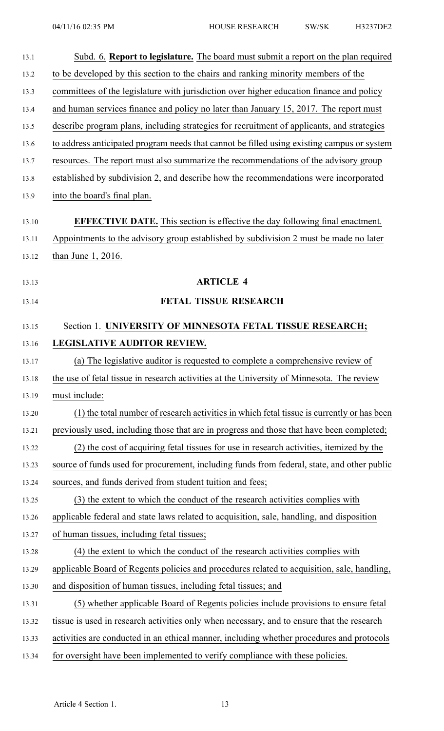| 13.1  | Subd. 6. Report to legislature. The board must submit a report on the plan required         |
|-------|---------------------------------------------------------------------------------------------|
| 13.2  | to be developed by this section to the chairs and ranking minority members of the           |
| 13.3  | committees of the legislature with jurisdiction over higher education finance and policy    |
| 13.4  | and human services finance and policy no later than January 15, 2017. The report must       |
| 13.5  | describe program plans, including strategies for recruitment of applicants, and strategies  |
| 13.6  | to address anticipated program needs that cannot be filled using existing campus or system  |
| 13.7  | resources. The report must also summarize the recommendations of the advisory group         |
| 13.8  | established by subdivision 2, and describe how the recommendations were incorporated        |
| 13.9  | into the board's final plan.                                                                |
| 13.10 | <b>EFFECTIVE DATE.</b> This section is effective the day following final enactment.         |
| 13.11 | Appointments to the advisory group established by subdivision 2 must be made no later       |
| 13.12 | than June $1, 2016$ .                                                                       |
|       |                                                                                             |
| 13.13 | <b>ARTICLE 4</b>                                                                            |
| 13.14 | FETAL TISSUE RESEARCH                                                                       |
| 13.15 | Section 1. UNIVERSITY OF MINNESOTA FETAL TISSUE RESEARCH;                                   |
| 13.16 | LEGISLATIVE AUDITOR REVIEW.                                                                 |
| 13.17 | (a) The legislative auditor is requested to complete a comprehensive review of              |
| 13.18 | the use of fetal tissue in research activities at the University of Minnesota. The review   |
| 13.19 | must include:                                                                               |
| 13.20 | (1) the total number of research activities in which fetal tissue is currently or has been  |
| 13.21 | previously used, including those that are in progress and those that have been completed;   |
| 13.22 | (2) the cost of acquiring fetal tissues for use in research activities, itemized by the     |
| 13.23 | source of funds used for procurement, including funds from federal, state, and other public |
| 13.24 | sources, and funds derived from student tuition and fees;                                   |
| 13.25 | (3) the extent to which the conduct of the research activities complies with                |
| 13.26 | applicable federal and state laws related to acquisition, sale, handling, and disposition   |
| 13.27 | of human tissues, including fetal tissues;                                                  |
| 13.28 | (4) the extent to which the conduct of the research activities complies with                |
| 13.29 | applicable Board of Regents policies and procedures related to acquisition, sale, handling, |
| 13.30 | and disposition of human tissues, including fetal tissues; and                              |
| 13.31 | (5) whether applicable Board of Regents policies include provisions to ensure fetal         |
| 13.32 | tissue is used in research activities only when necessary, and to ensure that the research  |
| 13.33 | activities are conducted in an ethical manner, including whether procedures and protocols   |
| 13.34 | for oversight have been implemented to verify compliance with these policies.               |